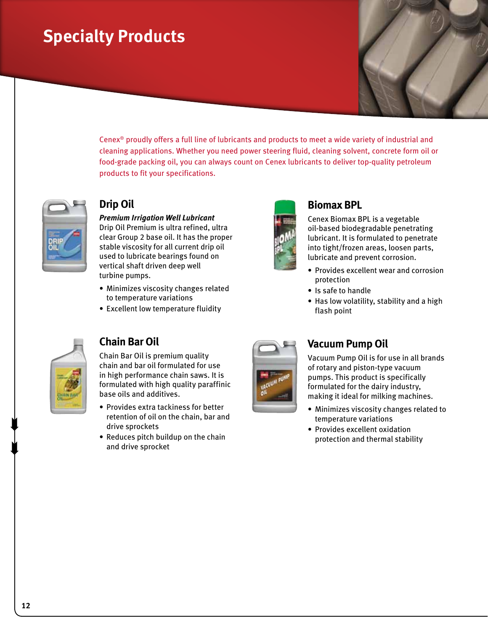# **Specialty Products**

Cenex® proudly offers a full line of lubricants and products to meet a wide variety of industrial and cleaning applications. Whether you need power steering fluid, cleaning solvent, concrete form oil or food-grade packing oil, you can always count on Cenex lubricants to deliver top-quality petroleum products to fit your specifications.



#### **Drip Oil**

*Premium Irrigation Well Lubricant*  Drip Oil Premium is ultra refined, ultra clear Group 2 base oil. It has the proper stable viscosity for all current drip oil used to lubricate bearings found on vertical shaft driven deep well turbine pumps.

- • Minimizes viscosity changes related to temperature variations
- Excellent low temperature fluidity



#### **Biomax BPL**

Cenex Biomax BPL is a vegetable oil-based biodegradable penetrating lubricant. It is formulated to penetrate into tight/frozen areas, loosen parts, lubricate and prevent corrosion.

- Provides excellent wear and corrosion protection
- Is safe to handle
- Has low volatility, stability and a high flash point



#### **Chain Bar Oil**

Chain Bar Oil is premium quality chain and bar oil formulated for use in high performance chain saws. It is formulated with high quality paraffinic base oils and additives.

- Provides extra tackiness for better retention of oil on the chain, bar and drive sprockets
- Reduces pitch buildup on the chain and drive sprocket



#### **Vacuum Pump Oil**

Vacuum Pump Oil is for use in all brands of rotary and piston-type vacuum pumps. This product is specifically formulated for the dairy industry, making it ideal for milking machines.

- Minimizes viscosity changes related to temperature variations
- Provides excellent oxidation protection and thermal stability

 $\begin{matrix} \blacksquare \\ \blacksquare \end{matrix}$ 

 $\begin{matrix} \blacksquare \\ \blacksquare \end{matrix}$